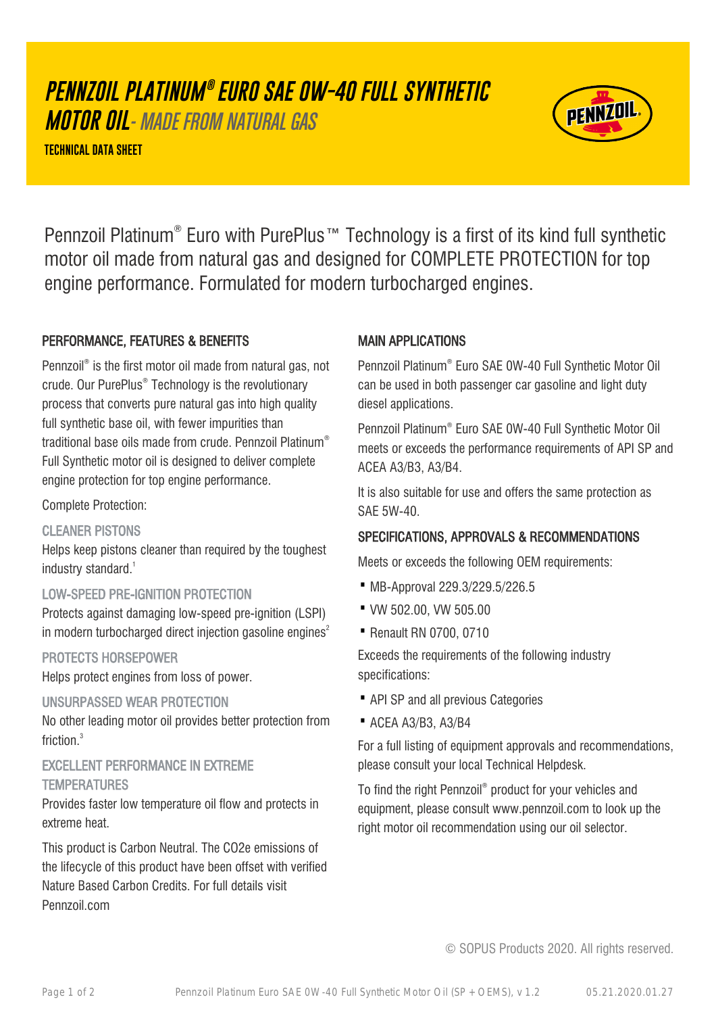# **PENNZOIL PLATINUM ® EURO SAE 0W-40 FULL SYNTHETIC**

**MOTOR OIL**- MADE FROM NATURAL GAS

**TECHNICAL DATA SHEET**



Pennzoil Platinum® Euro with PurePlus™ Technology is a first of its kind full synthetic motor oil made from natural gas and designed for COMPLETE PROTECTION for top engine performance. Formulated for modern turbocharged engines.

# PERFORMANCE, FEATURES & BENEFITS

Pennzoil® is the first motor oil made from natural gas, not crude. Our PurePlus® Technology is the revolutionary process that converts pure natural gas into high quality full synthetic base oil, with fewer impurities than traditional base oils made from crude. Pennzoil Platinum® Full Synthetic motor oil is designed to deliver complete engine protection for top engine performance.

#### Complete Protection:

#### CLEANER PISTONS

Helps keep pistons cleaner than required by the toughest industry standard.<sup>1</sup>

#### LOW-SPEED PRE-IGNITION PROTECTION

Protects against damaging low-speed pre-ignition (LSPI) in modern turbocharged direct injection gasoline engines<sup>2</sup>

#### PROTECTS HORSEPOWER

Helps protect engines from loss of power.

#### UNSURPASSED WEAR PROTECTION

No other leading motor oil provides better protection from friction.<sup>3</sup>

## EXCELLENT PERFORMANCE IN EXTREME **TEMPERATURES**

Provides faster low temperature oil flow and protects in extreme heat.

This product is Carbon Neutral. The CO2e emissions of the lifecycle of this product have been offset with verified Nature Based Carbon Credits. For full details visit Pennzoil.com

#### MAIN APPLICATIONS

Pennzoil Platinum® Euro SAE 0W-40 Full Synthetic Motor Oil can be used in both passenger car gasoline and light duty diesel applications.

Pennzoil Platinum® Euro SAE 0W-40 Full Synthetic Motor Oil meets or exceeds the performance requirements of API SP and ACEA A3/B3, A3/B4.

It is also suitable for use and offers the same protection as SAE 5W-40.

## SPECIFICATIONS, APPROVALS & RECOMMENDATIONS

Meets or exceeds the following OEM requirements:

- · MB-Approval 229.3/229.5/226.5
- · VW 502.00, VW 505.00
- · Renault RN 0700, 0710

Exceeds the requirements of the following industry specifications:

- · API SP and all previous Categories
- · ACEA A3/B3, A3/B4

For a full listing of equipment approvals and recommendations, please consult your local Technical Helpdesk.

To find the right Pennzoil® product for your vehicles and equipment, please consult www.pennzoil.com to look up the right motor oil recommendation using our oil selector.

© SOPUS Products 2020. All rights reserved.